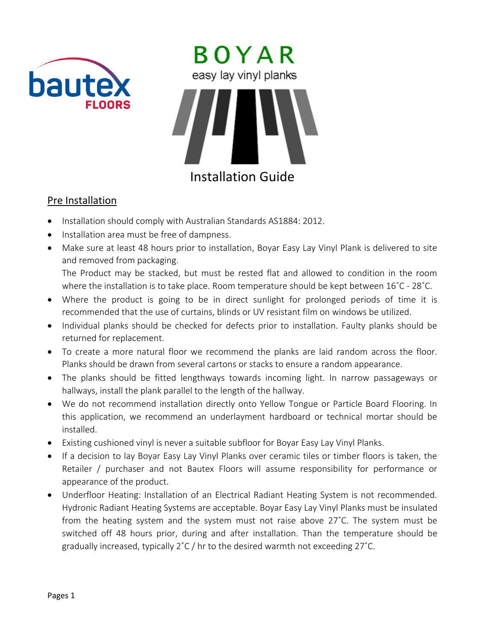



## Installation Guide

## Pre Installation

- Installation should comply with Australian Standards AS1884: 2012.
- Installation area must be free of dampness.
- Make sure at least 48 hours prior to installation, Boyar Easy Lay Vinyl Plank is delivered to site and removed from packaging.

The Product may be stacked, but must be rested flat and allowed to condition in the room where the installation is to take place. Room temperature should be kept between 16˚C - 28˚C.

- Where the product is going to be in direct sunlight for prolonged periods of time it is recommended that the use of curtains, blinds or UV resistant film on windows be utilized.
- Individual planks should be checked for defects prior to installation. Faulty planks should be returned for replacement.
- To create a more natural floor we recommend the planks are laid random across the floor. Planks should be drawn from several cartons or stacks to ensure a random appearance.
- The planks should be fitted lengthways towards incoming light. In narrow passageways or hallways, install the plank parallel to the length of the hallway.
- We do not recommend installation directly onto Yellow Tongue or Particle Board Flooring. In this application, we recommend an underlayment hardboard or technical mortar should be installed.
- Existing cushioned vinyl is never a suitable subfloor for Boyar Easy Lay Vinyl Planks.
- If a decision to lay Boyar Easy Lay Vinyl Planks over ceramic tiles or timber floors is taken, the Retailer / purchaser and not Bautex Floors will assume responsibility for performance or appearance of the product.
- Underfloor Heating: Installation of an Electrical Radiant Heating System is not recommended. Hydronic Radiant Heating Systems are acceptable. Boyar Easy Lay Vinyl Planks must be insulated from the heating system and the system must not raise above 27˚C. The system must be switched off 48 hours prior, during and after installation. Than the temperature should be gradually increased, typically  $2^{\circ}C$  / hr to the desired warmth not exceeding  $27^{\circ}C$ .